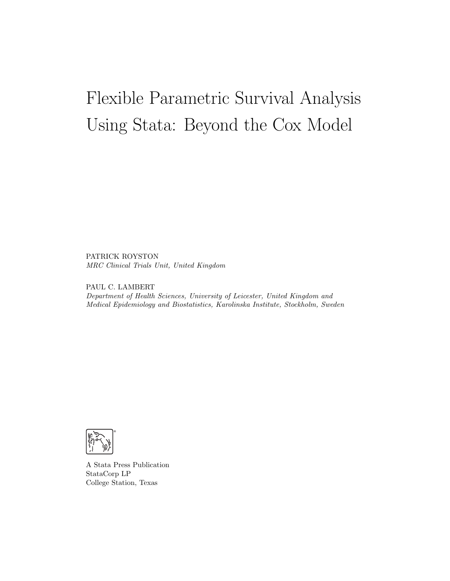# Flexible Parametric Survival Analysis Using Stata: Beyond the Cox Model

PATRICK ROYSTON MRC Clinical Trials Unit, United Kingdom

PAUL C. LAMBERT Department of Health Sciences, University of Leicester, United Kingdom and Medical Epidemiology and Biostatistics, Karolinska Institute, Stockholm, Sweden



A Stata Press Publication StataCorp LP College Station, Texas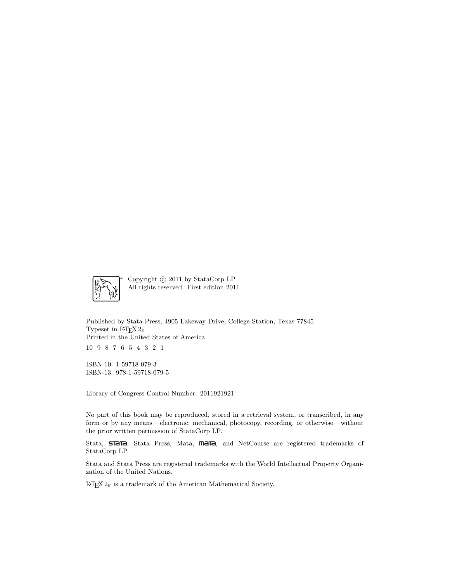

Copyright  $\odot$  2011 by StataCorp LP All rights reserved. First edition 2011

Published by Stata Press, 4905 Lakeway Drive, College Station, Texas 77845 Typeset in L<sup>AT</sup>FX  $2\varepsilon$ Printed in the United States of America 10 9 8 7 6 5 4 3 2 1

ISBN-10: 1-59718-079-3 ISBN-13: 978-1-59718-079-5

Library of Congress Control Number: 2011921921

No part of this book may be reproduced, stored in a retrieval system, or transcribed, in any form or by any means—electronic, mechanical, photocopy, recording, or otherwise—without the prior written permission of StataCorp LP.

Stata, **STaTa**, Stata Press, Mata, **mata**, and NetCourse are registered trademarks of StataCorp LP.

Stata and Stata Press are registered trademarks with the World Intellectual Property Organization of the United Nations.

 $\mathbb{F}\to \mathbb{F}$ 2 $\varepsilon$  is a trademark of the American Mathematical Society.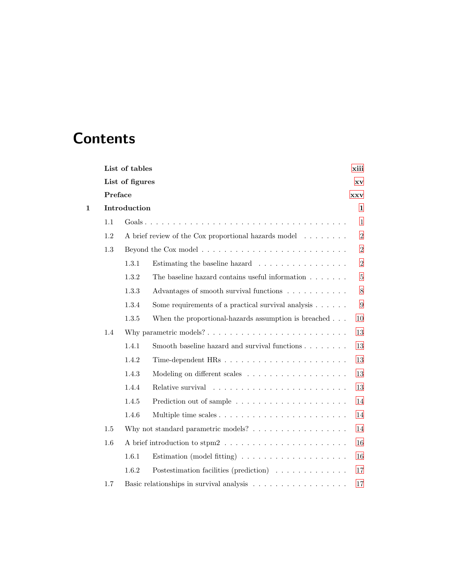## **Contents**

|              | List of tables<br>xiii |                 |                                                                                      |                |  |  |  |
|--------------|------------------------|-----------------|--------------------------------------------------------------------------------------|----------------|--|--|--|
|              |                        | List of figures |                                                                                      |                |  |  |  |
|              | Preface                |                 |                                                                                      |                |  |  |  |
| $\mathbf{1}$ |                        | Introduction    |                                                                                      | 1              |  |  |  |
|              | 1.1                    |                 |                                                                                      | 1              |  |  |  |
|              | 1.2                    |                 | A brief review of the Cox proportional hazards model                                 | $\mathbf{2}$   |  |  |  |
|              | 1.3                    |                 |                                                                                      | $\overline{2}$ |  |  |  |
|              |                        | 1.3.1           | Estimating the baseline hazard                                                       | $\sqrt{2}$     |  |  |  |
|              |                        | 1.3.2           | The baseline hazard contains useful information $\ldots \ldots$                      | $\overline{5}$ |  |  |  |
|              |                        | 1.3.3           | Advantages of smooth survival functions                                              | $8\,$          |  |  |  |
|              |                        | 1.3.4           | Some requirements of a practical survival analysis $\dots \dots$                     | 9              |  |  |  |
|              |                        | 1.3.5           | When the proportional-hazards assumption is breached                                 | 10             |  |  |  |
|              | 1.4                    |                 | Why parametric models? $\dots \dots \dots \dots \dots \dots \dots \dots \dots \dots$ | 13             |  |  |  |
|              |                        | 1.4.1           | Smooth baseline hazard and survival functions $\ldots \ldots$                        | 13             |  |  |  |
|              |                        | 1.4.2           |                                                                                      | 13             |  |  |  |
|              |                        | 1.4.3           |                                                                                      | 13             |  |  |  |
|              |                        | 1.4.4           |                                                                                      | 13             |  |  |  |
|              |                        | 1.4.5           |                                                                                      | 14             |  |  |  |
|              |                        | 1.4.6           |                                                                                      | 14             |  |  |  |
|              | 1.5                    |                 | Why not standard parametric models? $\ldots \ldots \ldots \ldots \ldots$             | 14             |  |  |  |
|              | $1.6\,$                |                 |                                                                                      | 16             |  |  |  |
|              |                        | 1.6.1           | Estimation (model fitting) $\ldots \ldots \ldots \ldots \ldots \ldots$               | 16             |  |  |  |
|              |                        | 1.6.2           | Postestimation facilities (prediction) $\ldots \ldots \ldots \ldots$                 | 17             |  |  |  |
|              | 1.7                    |                 |                                                                                      | 17             |  |  |  |
|              |                        |                 |                                                                                      |                |  |  |  |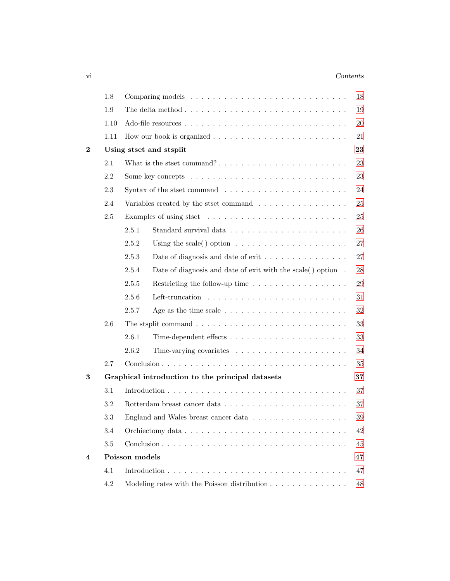#### vi Contents

|          | 1.8     | 18                                                                                                  |  |
|----------|---------|-----------------------------------------------------------------------------------------------------|--|
|          | 1.9     | 19                                                                                                  |  |
|          | 1.10    | 20                                                                                                  |  |
|          | 1.11    | 21                                                                                                  |  |
| $\bf{2}$ |         | Using stset and stsplit<br>23                                                                       |  |
|          | 2.1     | 23                                                                                                  |  |
|          | 2.2     | 23                                                                                                  |  |
|          | 2.3     | Syntax of the stset command $\ldots \ldots \ldots \ldots \ldots \ldots \ldots$<br>24                |  |
|          | 2.4     | Variables created by the stset command $\ldots \ldots \ldots \ldots \ldots$<br>25                   |  |
|          | $2.5\,$ | 25                                                                                                  |  |
|          |         | 26<br>2.5.1                                                                                         |  |
|          |         | Using the scale() option $\ldots \ldots \ldots \ldots \ldots \ldots \ldots$<br>$27\,$<br>2.5.2      |  |
|          |         | 2.5.3<br>Date of diagnosis and date of exit $\ldots \ldots \ldots \ldots \ldots$<br>27              |  |
|          |         | 2.5.4<br>Date of diagnosis and date of exit with the scale () option.<br>28                         |  |
|          |         | Restricting the follow-up time $\dots \dots \dots \dots \dots \dots$<br>29<br>2.5.5                 |  |
|          |         | 2.5.6<br>31                                                                                         |  |
|          |         | 32<br>2.5.7<br>Age as the time scale $\dots \dots \dots \dots \dots \dots \dots \dots \dots$        |  |
|          | 2.6     | 33                                                                                                  |  |
|          |         | 2.6.1<br>33                                                                                         |  |
|          |         | 2.6.2<br>34                                                                                         |  |
|          | 2.7     | 35                                                                                                  |  |
| 3        |         | Graphical introduction to the principal datasets<br>37                                              |  |
|          | 3.1     | 37                                                                                                  |  |
|          | 3.2     | 37                                                                                                  |  |
|          | 3.3     | England and Wales breast cancer data $\hfill\ldots\ldots\ldots\ldots\ldots\ldots\ldots\ldots$<br>39 |  |
|          | 3.4     | 42                                                                                                  |  |
|          | 3.5     | 45                                                                                                  |  |
| 4        |         | Poisson models<br>47                                                                                |  |
|          | 4.1     | 47                                                                                                  |  |
|          | 4.2     | Modeling rates with the Poisson distribution $\ldots \ldots \ldots \ldots$<br>48                    |  |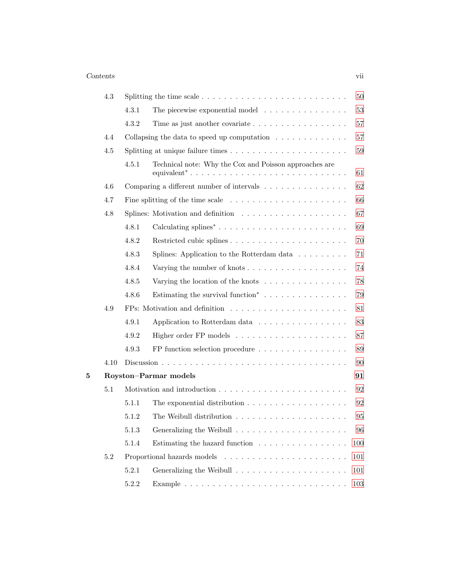#### Contents vii

|   | 4.3  |       | Splitting the time scale $\ldots \ldots \ldots \ldots \ldots \ldots \ldots \ldots \ldots$ | $50\,$ |
|---|------|-------|-------------------------------------------------------------------------------------------|--------|
|   |      | 4.3.1 | The piecewise exponential model $\dots \dots \dots \dots \dots$                           | $53\,$ |
|   |      | 4.3.2 |                                                                                           | $57\,$ |
|   | 4.4  |       | Collapsing the data to speed up computation $\ldots \ldots \ldots \ldots$                 | $57\,$ |
|   | 4.5  |       | Splitting at unique failure times $\ldots \ldots \ldots \ldots \ldots \ldots \ldots$      | $59\,$ |
|   |      | 4.5.1 | Technical note: Why the Cox and Poisson approaches are                                    | 61     |
|   | 4.6  |       | Comparing a different number of intervals $\ldots \ldots \ldots \ldots \ldots$            | 62     |
|   | 4.7  |       | Fine splitting of the time scale $\ldots \ldots \ldots \ldots \ldots \ldots \ldots$       | 66     |
|   | 4.8  |       | Splines: Motivation and definition $\ldots \ldots \ldots \ldots \ldots \ldots$            | 67     |
|   |      | 4.8.1 | Calculating splines* $\ldots \ldots \ldots \ldots \ldots \ldots \ldots \ldots$            | 69     |
|   |      | 4.8.2 |                                                                                           | 70     |
|   |      | 4.8.3 | Splines: Application to the Rotterdam data $\ldots \ldots \ldots$                         | 71     |
|   |      | 4.8.4 | Varying the number of knots $\dots \dots \dots \dots \dots \dots$                         | 74     |
|   |      | 4.8.5 | Varying the location of the knots $\dots \dots \dots \dots \dots$                         | 78     |
|   |      | 4.8.6 |                                                                                           | $79\,$ |
|   | 4.9  |       | FPs: Motivation and definition $\ldots \ldots \ldots \ldots \ldots \ldots \ldots$         | 81     |
|   |      | 4.9.1 | Application to Rotterdam data                                                             | 83     |
|   |      | 4.9.2 |                                                                                           | 87     |
|   |      | 4.9.3 | FP function selection procedure $\dots \dots \dots \dots \dots \dots$                     | 89     |
|   | 4.10 |       |                                                                                           | 90     |
| 5 |      |       | Royston-Parmar models                                                                     | 91     |
|   | 5.1  |       |                                                                                           | 92     |
|   |      | 5.1.1 | The exponential distribution $\ldots \ldots \ldots \ldots \ldots \ldots$                  | 92     |
|   |      | 5.1.2 | The Weibull distribution $\ldots \ldots \ldots \ldots \ldots \ldots \ldots$               | 95     |
|   |      | 5.1.3 |                                                                                           | 96     |
|   |      | 5.1.4 | Estimating the hazard function $\dots \dots \dots \dots \dots$                            | 100    |
|   | 5.2  |       |                                                                                           | 101    |
|   |      | 5.2.1 |                                                                                           | 101    |
|   |      | 5.2.2 |                                                                                           | 103    |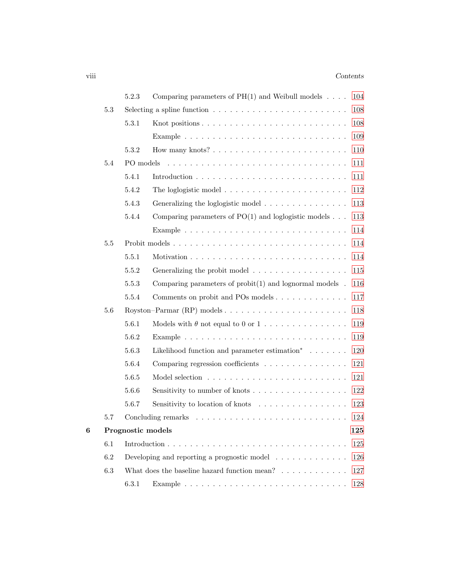|   |         | 5.2.3             | Comparing parameters of $PH(1)$ and Weibull models $\ldots$ .                         | 104     |
|---|---------|-------------------|---------------------------------------------------------------------------------------|---------|
|   | 5.3     |                   | Selecting a spline function $\ldots \ldots \ldots \ldots \ldots \ldots \ldots \ldots$ | 108     |
|   |         | 5.3.1             | Knot positions $\ldots \ldots \ldots \ldots \ldots \ldots \ldots \ldots \ldots$       | 108     |
|   |         |                   |                                                                                       | 109     |
|   |         | 5.3.2             | How many knots? $\dots \dots \dots \dots \dots \dots \dots \dots \dots$               | 110     |
|   | 5.4     |                   |                                                                                       | 111     |
|   |         | 5.4.1             |                                                                                       | 111     |
|   |         | 5.4.2             |                                                                                       | $112\,$ |
|   |         | 5.4.3             | Generalizing the loglogistic model                                                    | 113     |
|   |         | 5.4.4             | Comparing parameters of $PO(1)$ and loglogistic models                                | 113     |
|   |         |                   |                                                                                       | 114     |
|   | $5.5\,$ |                   |                                                                                       | 114     |
|   |         | 5.5.1             |                                                                                       | 114     |
|   |         | 5.5.2             | Generalizing the probit model                                                         | 115     |
|   |         | 5.5.3             | Comparing parameters of $probit(1)$ and lognormal models.                             | 116     |
|   |         | 5.5.4             | Comments on probit and POs models                                                     | 117     |
|   | $5.6\,$ |                   |                                                                                       | 118     |
|   |         | 5.6.1             | Models with $\theta$ not equal to 0 or 1                                              | 119     |
|   |         | 5.6.2             |                                                                                       | 119     |
|   |         | 5.6.3             | Likelihood function and parameter estimation $*$                                      | 120     |
|   |         | 5.6.4             | Comparing regression coefficients                                                     | 121     |
|   |         | 5.6.5             |                                                                                       | 121     |
|   |         | 5.6.6             | Sensitivity to number of knots                                                        | 122     |
|   |         | 5.6.7             | Sensitivity to location of knots                                                      | 123     |
|   | 5.7     |                   |                                                                                       | 124     |
| 6 |         | Prognostic models |                                                                                       | 125     |
|   | 6.1     |                   |                                                                                       | 125     |
|   | 6.2     |                   | Developing and reporting a prognostic model $\ldots \ldots \ldots \ldots$             | 126     |
|   | $6.3\,$ |                   | What does the baseline hazard function mean? $\ldots \ldots \ldots \ldots$            | 127     |
|   |         | 6.3.1             |                                                                                       | 128     |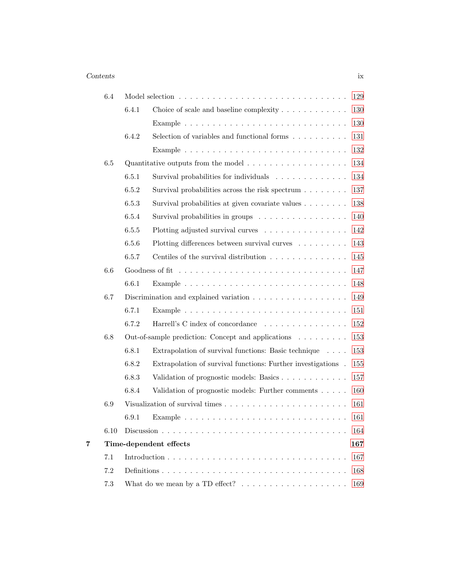#### Contents ix

|   | 6.4     |       | 129                                                                                           |
|---|---------|-------|-----------------------------------------------------------------------------------------------|
|   |         | 6.4.1 | 130<br>Choice of scale and baseline complexity $\dots \dots \dots \dots$                      |
|   |         |       | 130                                                                                           |
|   |         | 6.4.2 | Selection of variables and functional forms $\ldots \ldots \ldots$<br>131                     |
|   |         |       | 132                                                                                           |
|   | 6.5     |       | Quantitative outputs from the model $\dots \dots \dots \dots \dots \dots$<br>134              |
|   |         | 6.5.1 | Survival probabilities for individuals<br>134                                                 |
|   |         | 6.5.2 | 137<br>Survival probabilities across the risk spectrum                                        |
|   |         | 6.5.3 | 138<br>Survival probabilities at given covariate values                                       |
|   |         | 6.5.4 | 140<br>Survival probabilities in groups $\ldots \ldots \ldots \ldots \ldots$                  |
|   |         | 6.5.5 | 142<br>Plotting adjusted survival curves                                                      |
|   |         | 6.5.6 | 143<br>Plotting differences between survival curves                                           |
|   |         | 6.5.7 | Centiles of the survival distribution $\ldots \ldots \ldots \ldots$<br>145                    |
|   | 6.6     |       | 147                                                                                           |
|   |         | 6.6.1 | 148                                                                                           |
|   | 6.7     |       | 149<br>Discrimination and explained variation $\ldots \ldots \ldots \ldots \ldots$            |
|   |         | 6.7.1 | 151                                                                                           |
|   |         | 6.7.2 | 152<br>Harrell's C index of concordance                                                       |
|   | 6.8     |       | 153<br>Out-of-sample prediction: Concept and applications                                     |
|   |         | 6.8.1 | Extrapolation of survival functions: Basic technique<br>153                                   |
|   |         | 6.8.2 | Extrapolation of survival functions: Further investigations .<br>155                          |
|   |         | 6.8.3 | Validation of prognostic models: Basics<br>157                                                |
|   |         | 6.8.4 | Validation of prognostic models: Further comments<br>160                                      |
|   | 6.9     |       | 161                                                                                           |
|   |         | 6.9.1 | 161<br>Example $\ldots \ldots \ldots \ldots \ldots \ldots \ldots \ldots \ldots \ldots \ldots$ |
|   | 6.10    |       | 164                                                                                           |
| 7 |         |       | Time-dependent effects<br>167                                                                 |
|   | 7.1     |       | 167                                                                                           |
|   | 7.2     |       | 168                                                                                           |
|   | $7.3\,$ |       | What do we mean by a TD effect? $\ldots \ldots \ldots \ldots \ldots \ldots \ldots$<br>169     |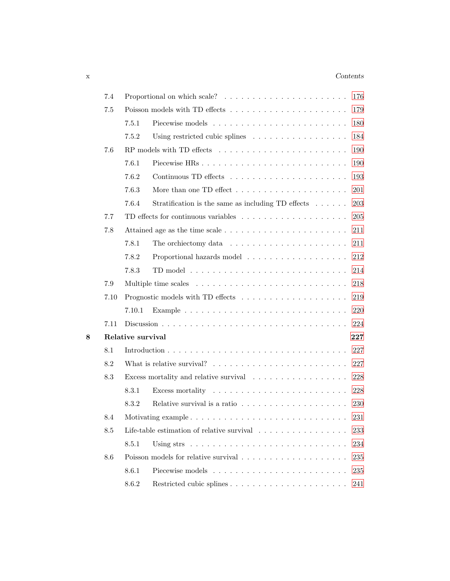#### x Contents

|   | 7.4  |                   | Proportional on which scale? $\ldots \ldots \ldots \ldots \ldots \ldots \ldots$<br>176    |  |
|---|------|-------------------|-------------------------------------------------------------------------------------------|--|
|   | 7.5  |                   | Poisson models with TD effects $\dots \dots \dots \dots \dots \dots \dots \dots$<br>179   |  |
|   |      | 7.5.1             | 180                                                                                       |  |
|   |      | 7.5.2             | Using restricted cubic splines<br>184                                                     |  |
|   | 7.6  |                   | 190                                                                                       |  |
|   |      | 7.6.1             | Piecewise HRs<br>190                                                                      |  |
|   |      | 7.6.2             | 193                                                                                       |  |
|   |      | 7.6.3             | More than one TD effect $\dots \dots \dots \dots \dots \dots \dots$<br>201                |  |
|   |      | 7.6.4             | Stratification is the same as including TD effects $\ldots \ldots$<br>203                 |  |
|   | 7.7  |                   | TD effects for continuous variables $\dots \dots \dots \dots \dots \dots$<br>205          |  |
|   | 7.8  |                   | 211                                                                                       |  |
|   |      | 7.8.1             | 211<br>The orchiectomy data $\ldots \ldots \ldots \ldots \ldots \ldots \ldots$            |  |
|   |      | 7.8.2             | 212                                                                                       |  |
|   |      | 7.8.3             | 214                                                                                       |  |
|   | 7.9  |                   | 218                                                                                       |  |
|   | 7.10 |                   | 219                                                                                       |  |
|   |      | 7.10.1            | 220                                                                                       |  |
|   | 7.11 |                   | 224                                                                                       |  |
| 8 |      | Relative survival | 227                                                                                       |  |
|   | 8.1  |                   | 227                                                                                       |  |
|   | 8.2  |                   | What is relative survival? $\ldots \ldots \ldots \ldots \ldots \ldots \ldots$<br>227      |  |
|   | 8.3  |                   | 228                                                                                       |  |
|   |      | 8.3.1             | 228                                                                                       |  |
|   |      | 8.3.2             | 230                                                                                       |  |
|   | 8.4  |                   | Motivating example<br>231                                                                 |  |
|   | 8.5  |                   | Life-table estimation of relative survival $\ldots \ldots \ldots \ldots \ldots$<br>233    |  |
|   |      | 8.5.1             | 234<br>Using strs $\ldots \ldots \ldots \ldots \ldots \ldots \ldots \ldots \ldots \ldots$ |  |
|   | 8.6  |                   | 235                                                                                       |  |
|   |      | 8.6.1             | 235                                                                                       |  |
|   |      | 8.6.2             | 241                                                                                       |  |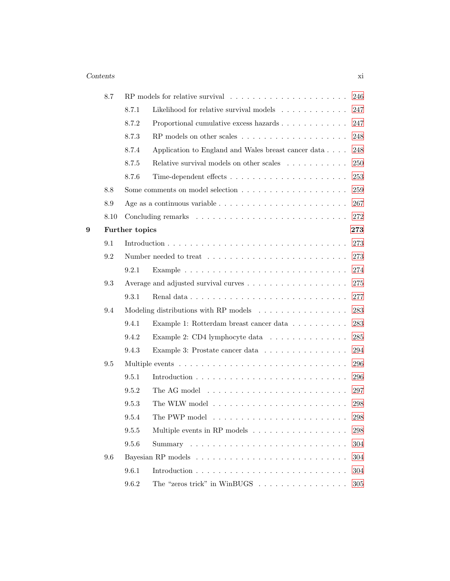#### Contents xi

|   | 8.7     |                | 246<br>$RP$ models for relative survival $\ldots \ldots \ldots \ldots \ldots \ldots \ldots$ |  |
|---|---------|----------------|---------------------------------------------------------------------------------------------|--|
|   |         | 8.7.1          | Likelihood for relative survival models $\ldots \ldots \ldots \ldots$<br>247                |  |
|   |         | 8.7.2          | 247<br>Proportional cumulative excess hazards                                               |  |
|   |         | 8.7.3          | 248                                                                                         |  |
|   |         | 8.7.4          | 248<br>Application to England and Wales breast cancer data                                  |  |
|   |         | 8.7.5          | Relative survival models on other scales<br>250                                             |  |
|   |         | 8.7.6          | 253                                                                                         |  |
|   | 8.8     |                | 259                                                                                         |  |
|   | 8.9     |                | 267<br>Age as a continuous variable $\dots \dots \dots \dots \dots \dots \dots \dots \dots$ |  |
|   | 8.10    |                | 272                                                                                         |  |
| 9 |         | Further topics | 273                                                                                         |  |
|   | 9.1     |                | 273                                                                                         |  |
|   | 9.2     |                | 273                                                                                         |  |
|   |         | 9.2.1          | 274                                                                                         |  |
|   | 9.3     |                | 275                                                                                         |  |
|   |         | 9.3.1          | 277                                                                                         |  |
|   | 9.4     |                | 283<br>Modeling distributions with RP models $\ldots \ldots \ldots \ldots \ldots$           |  |
|   |         | 9.4.1          | Example 1: Rotterdam breast cancer data<br>283                                              |  |
|   |         | 9.4.2          | Example 2: CD4 lymphocyte data<br>285                                                       |  |
|   |         | 9.4.3          | Example 3: Prostate cancer data<br>294                                                      |  |
|   | $9.5\,$ |                | 296                                                                                         |  |
|   |         | 9.5.1          | 296                                                                                         |  |
|   |         | 9.5.2          | 297                                                                                         |  |
|   |         | 9.5.3          | 298                                                                                         |  |
|   |         | 9.5.4          | The PWP model $\ldots \ldots \ldots \ldots \ldots \ldots \ldots \ldots$<br>298              |  |
|   |         | 9.5.5          | Multiple events in RP models $\dots \dots \dots \dots \dots \dots$<br>298                   |  |
|   |         | 9.5.6          | 304                                                                                         |  |
|   | 9.6     |                | 304                                                                                         |  |
|   |         | 9.6.1          | 304                                                                                         |  |
|   |         | 9.6.2          | The "zeros trick" in $WinBUGS$<br>305                                                       |  |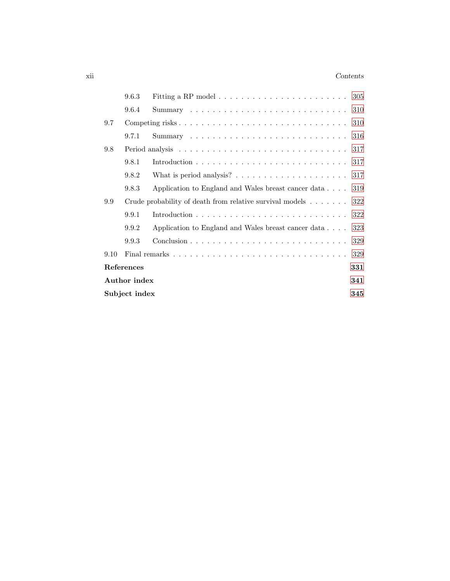#### xii Contents

|      | 9.6.3                | Fitting a RP model $\ldots \ldots \ldots \ldots \ldots \ldots \ldots \ldots \ldots 305$                          |     |  |  |  |  |
|------|----------------------|------------------------------------------------------------------------------------------------------------------|-----|--|--|--|--|
|      | 9.6.4                |                                                                                                                  | 310 |  |  |  |  |
| 9.7  |                      |                                                                                                                  |     |  |  |  |  |
|      | 9.7.1                |                                                                                                                  | 316 |  |  |  |  |
| 9.8  |                      | Period analysis $\ldots \ldots \ldots \ldots \ldots \ldots \ldots \ldots \ldots \ldots \ldots \ldots \ldots$ 317 |     |  |  |  |  |
|      | 9.8.1                |                                                                                                                  |     |  |  |  |  |
|      | 9.8.2                |                                                                                                                  |     |  |  |  |  |
|      | 9.8.3                | Application to England and Wales breast cancer data 319                                                          |     |  |  |  |  |
| 9.9  |                      | Crude probability of death from relative survival models $\dots \dots$                                           | 322 |  |  |  |  |
|      | 9.9.1                |                                                                                                                  | 322 |  |  |  |  |
|      | 9.9.2                | Application to England and Wales breast cancer data                                                              | 323 |  |  |  |  |
|      | 9.9.3                |                                                                                                                  | 329 |  |  |  |  |
| 9.10 |                      |                                                                                                                  | 329 |  |  |  |  |
|      | References<br>331    |                                                                                                                  |     |  |  |  |  |
|      | Author index<br>341  |                                                                                                                  |     |  |  |  |  |
|      | Subject index<br>345 |                                                                                                                  |     |  |  |  |  |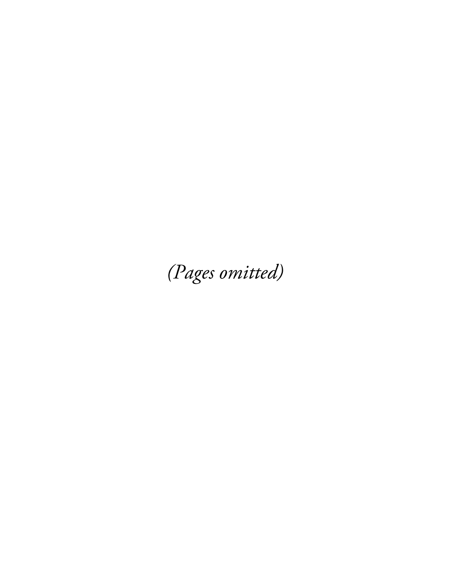(Pages omitted)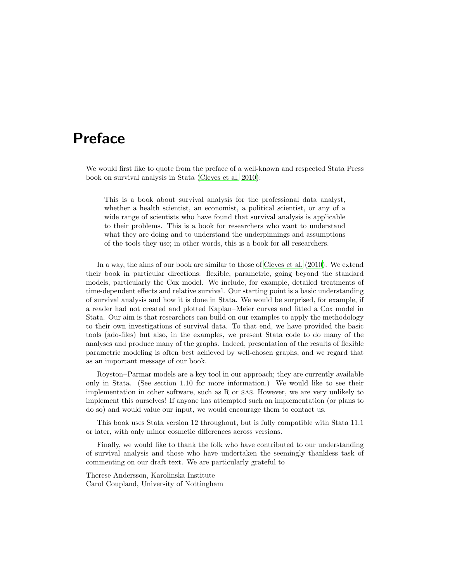## Preface

We would first like to quote from the preface of a well-known and respected Stata Press book on survival analysis in Stata (Cleves et al. 2010):

This is a book about survival analysis for the professional data analyst, whether a health scientist, an economist, a political scientist, or any of a wide range of scientists who have found that survival analysis is applicable to their problems. This is a book for researchers who want to understand what they are doing and to understand the underpinnings and assumptions of the tools they use; in other words, this is a book for all researchers.

In a way, the aims of our book are similar to those of Cleves et al. (2010). We extend their book in particular directions: flexible, parametric, going beyond the standard models, particularly the Cox model. We include, for example, detailed treatments of time-dependent effects and relative survival. Our starting point is a basic understanding of survival analysis and how it is done in Stata. We would be surprised, for example, if a reader had not created and plotted Kaplan–Meier curves and fitted a Cox model in Stata. Our aim is that researchers can build on our examples to apply the methodology to their own investigations of survival data. To that end, we have provided the basic tools (ado-files) but also, in the examples, we present Stata code to do many of the analyses and produce many of the graphs. Indeed, presentation of the results of flexible parametric modeling is often best achieved by well-chosen graphs, and we regard that as an important message of our book.

Royston–Parmar models are a key tool in our approach; they are currently available only in Stata. (See section 1.10 for more information.) We would like to see their implementation in other software, such as R or SAS. However, we are very unlikely to implement this ourselves! If anyone has attempted such an implementation (or plans to do so) and would value our input, we would encourage them to contact us.

This book uses Stata version 12 throughout, but is fully compatible with Stata 11.1 or later, with only minor cosmetic differences across versions.

Finally, we would like to thank the folk who have contributed to our understanding of survival analysis and those who have undertaken the seemingly thankless task of commenting on our draft text. We are particularly grateful to

Therese Andersson, Karolinska Institute Carol Coupland, University of Nottingham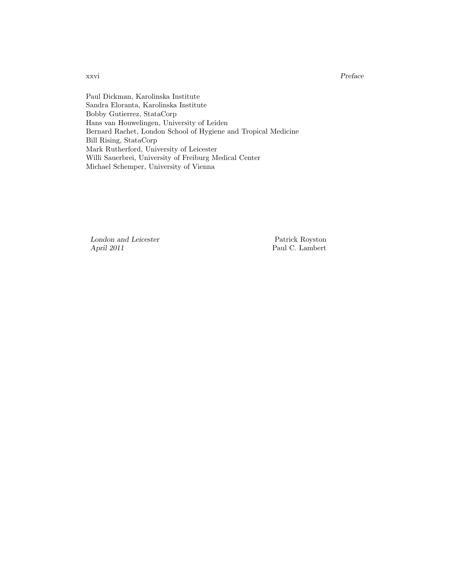xxvi Preface

Paul Dickman, Karolinska Institute Sandra Eloranta, Karolinska Institute Bobby Gutierrez, StataCorp Hans van Houwelingen, University of Leiden Bernard Rachet, London School of Hygiene and Tropical Medicine Bill Rising, StataCorp Mark Rutherford, University of Leicester Willi Sauerbrei, University of Freiburg Medical Center Michael Schemper, University of Vienna

London and Leicester Patrick Royston April 2011 Paul C. Lambert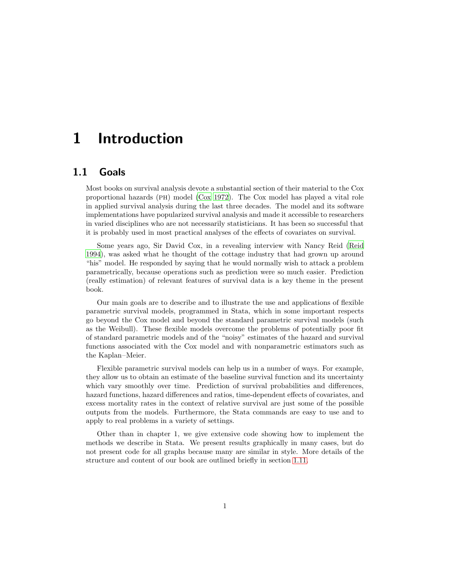## 1 Introduction

#### 1.1 Goals

Most books on survival analysis devote a substantial section of their material to the Cox proportional hazards (PH) model (Cox 1972). The Cox model has played a vital role in applied survival analysis during the last three decades. The model and its software implementations have popularized survival analysis and made it accessible to researchers in varied disciplines who are not necessarily statisticians. It has been so successful that it is probably used in most practical analyses of the effects of covariates on survival.

Some years ago, Sir David Cox, in a revealing interview with Nancy Reid (Reid 1994), was asked what he thought of the cottage industry that had grown up around "his" model. He responded by saying that he would normally wish to attack a problem parametrically, because operations such as prediction were so much easier. Prediction (really estimation) of relevant features of survival data is a key theme in the present book.

Our main goals are to describe and to illustrate the use and applications of flexible parametric survival models, programmed in Stata, which in some important respects go beyond the Cox model and beyond the standard parametric survival models (such as the Weibull). These flexible models overcome the problems of potentially poor fit of standard parametric models and of the "noisy" estimates of the hazard and survival functions associated with the Cox model and with nonparametric estimators such as the Kaplan–Meier.

Flexible parametric survival models can help us in a number of ways. For example, they allow us to obtain an estimate of the baseline survival function and its uncertainty which vary smoothly over time. Prediction of survival probabilities and differences, hazard functions, hazard differences and ratios, time-dependent effects of covariates, and excess mortality rates in the context of relative survival are just some of the possible outputs from the models. Furthermore, the Stata commands are easy to use and to apply to real problems in a variety of settings.

Other than in chapter 1, we give extensive code showing how to implement the methods we describe in Stata. We present results graphically in many cases, but do not present code for all graphs because many are similar in style. More details of the structure and content of our book are outlined briefly in section 1.11.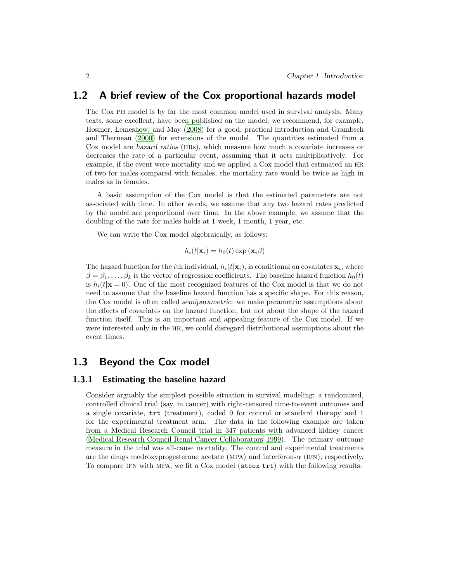#### 1.2 A brief review of the Cox proportional hazards model

The Cox PH model is by far the most common model used in survival analysis. Many texts, some excellent, have been published on the model; we recommend, for example, Hosmer, Lemeshow, and May (2008) for a good, practical introduction and Grambsch and Therneau (2000) for extensions of the model. The quantities estimated from a Cox model are hazard ratios (HRs), which measure how much a covariate increases or decreases the rate of a particular event, assuming that it acts multiplicatively. For example, if the event were mortality and we applied a Cox model that estimated an HR of two for males compared with females, the mortality rate would be twice as high in males as in females.

A basic assumption of the Cox model is that the estimated parameters are not associated with time. In other words, we assume that any two hazard rates predicted by the model are proportional over time. In the above example, we assume that the doubling of the rate for males holds at 1 week, 1 month, 1 year, etc.

We can write the Cox model algebraically, as follows:

$$
h_i(t|\mathbf{x}_i) = h_0(t) \exp(\mathbf{x}_i \beta)
$$

The hazard function for the *i*th individual,  $h_i(t|\mathbf{x}_i)$ , is conditional on covariates  $\mathbf{x}_i$ , where  $\beta = \beta_1, \ldots, \beta_k$  is the vector of regression coefficients. The baseline hazard function  $h_0(t)$ is  $h_i(t|\mathbf{x} = 0)$ . One of the most recognized features of the Cox model is that we do not need to assume that the baseline hazard function has a specific shape. For this reason, the Cox model is often called semiparametric: we make parametric assumptions about the effects of covariates on the hazard function, but not about the shape of the hazard function itself. This is an important and appealing feature of the Cox model. If we were interested only in the HR, we could disregard distributional assumptions about the event times.

#### 1.3 Beyond the Cox model

#### 1.3.1 Estimating the baseline hazard

Consider arguably the simplest possible situation in survival modeling: a randomized, controlled clinical trial (say, in cancer) with right-censored time-to-event outcomes and a single covariate, trt (treatment), coded 0 for control or standard therapy and 1 for the experimental treatment arm. The data in the following example are taken from a Medical Research Council trial in 347 patients with advanced kidney cancer (Medical Research Council Renal Cancer Collaborators 1999). The primary outcome measure in the trial was all-cause mortality. The control and experimental treatments are the drugs medroxyprogesterone acetate (MPA) and interferon- $\alpha$  (IFN), respectively. To compare IFN with MPA, we fit a Cox model (stcox trt) with the following results: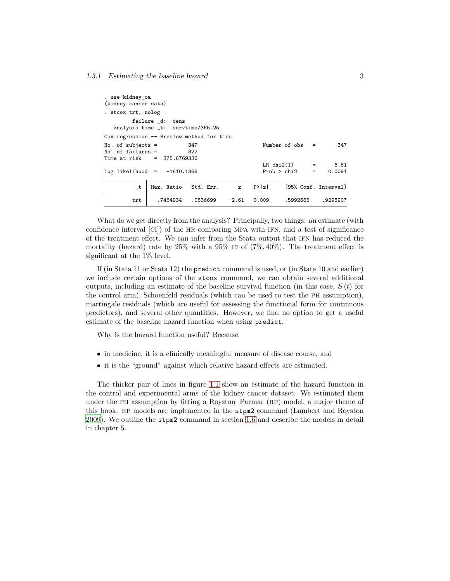```
use kidney_ca
(kidney cancer data)
. stcox trt, nolog
      failure _d: cens
  analysis time _t: survtime/365.25
Cox regression -- Breslow method for ties
No. of subjects = 347 Number of obs = 347
No of failures = 322Time at risk = 375.6769336
                                       LR chi2(1) = 6.81Log likelihood = -1610.1366 Prob > chi2 = 0.0091
       _t Haz. Ratio Std. Err. z P>|z| [95% Conf. Interval]
       trt .7464934 .0836699 -2.61 0.009 .5992665 .9298907
```
What do we get directly from the analysis? Principally, two things: an estimate (with confidence interval [CI]) of the HR comparing MPA with IFN, and a test of significance of the treatment effect. We can infer from the Stata output that IFN has reduced the mortality (hazard) rate by  $25\%$  with a  $95\%$  CI of  $(7\%, 40\%)$ . The treatment effect is significant at the 1% level.

If (in Stata 11 or Stata 12) the predict command is used, or (in Stata 10 and earlier) we include certain options of the stcox command, we can obtain several additional outputs, including an estimate of the baseline survival function (in this case,  $S(t)$  for the control arm), Schoenfeld residuals (which can be used to test the PH assumption), martingale residuals (which are useful for assessing the functional form for continuous predictors), and several other quantities. However, we find no option to get a useful estimate of the baseline hazard function when using predict.

Why is the hazard function useful? Because

- in medicine, it is a clinically meaningful measure of disease course, and
- it is the "ground" against which relative hazard effects are estimated.

The thicker pair of lines in figure 1.1 show an estimate of the hazard function in the control and experimental arms of the kidney cancer dataset. We estimated them under the PH assumption by fitting a Royston–Parmar (RP) model, a major theme of this book. RP models are implemented in the stpm2 command (Lambert and Royston 2009). We outline the stpm2 command in section 1.6 and describe the models in detail in chapter 5.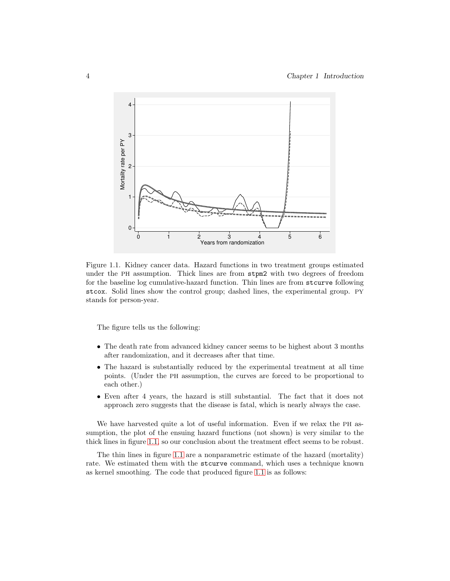

Figure 1.1. Kidney cancer data. Hazard functions in two treatment groups estimated under the PH assumption. Thick lines are from stpm2 with two degrees of freedom for the baseline log cumulative-hazard function. Thin lines are from stcurve following stcox. Solid lines show the control group; dashed lines, the experimental group. PY stands for person-year.

The figure tells us the following:

- The death rate from advanced kidney cancer seems to be highest about 3 months after randomization, and it decreases after that time.
- The hazard is substantially reduced by the experimental treatment at all time points. (Under the PH assumption, the curves are forced to be proportional to each other.)
- Even after 4 years, the hazard is still substantial. The fact that it does not approach zero suggests that the disease is fatal, which is nearly always the case.

We have harvested quite a lot of useful information. Even if we relax the PH assumption, the plot of the ensuing hazard functions (not shown) is very similar to the thick lines in figure 1.1, so our conclusion about the treatment effect seems to be robust.

The thin lines in figure 1.1 are a nonparametric estimate of the hazard (mortality) rate. We estimated them with the stcurve command, which uses a technique known as kernel smoothing. The code that produced figure 1.1 is as follows: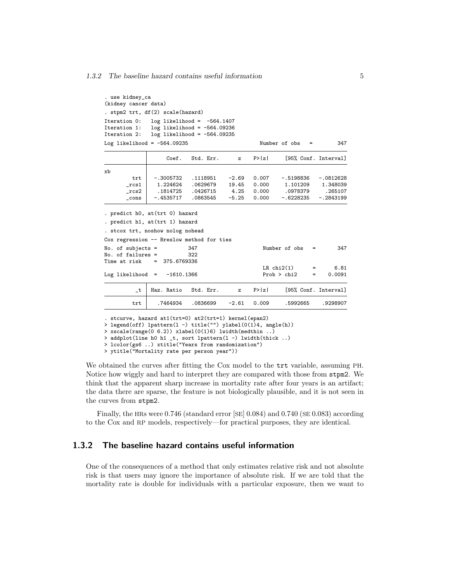```
. use kidney_ca
(kidney cancer data)
. stpm2 trt, df(2) scale(hazard)
Iteration 0: log likelihood = -564.1407<br>Iteration 1: log likelihood = -564.09236
               log likelihood = -564.09236
Iteration 2: log likelihood = -564.09235
Log likelihood = -564.09235 Number of obs = 347
```

|    |      | Coef.       | Std. Err. | $\mathbf{z}$ | P>  z |             | [95% Conf. Interval] |
|----|------|-------------|-----------|--------------|-------|-------------|----------------------|
| xb |      |             |           |              |       |             |                      |
|    | trt  | $-.3005732$ | . 1118951 | $-2.69$      | 0.007 | $-.5198836$ | $-.0812628$          |
|    | rcs1 | 1.224624    | .0629679  | 19.45        | 0.000 | 1.101209    | 1.348039             |
|    | rcs2 | . 1814725   | .0426715  | 4.25         | 0.000 | .0978379    | .265107              |
|    | cons | $-.4535717$ | .0863545  | $-5.25$      | 0.000 | $-.6228235$ | $-.2843199$          |
|    |      |             |           |              |       |             |                      |

. predict h0, at(trt 0) hazard

. predict h1, at(trt 1) hazard

. stcox trt, noshow nolog nohead

Cox regression -- Breslow method for ties

| oon rogroppron broprow mooned ror erep |                                                         |         |       |                   |          |
|----------------------------------------|---------------------------------------------------------|---------|-------|-------------------|----------|
| No. of subjects $=$                    | - 347                                                   |         |       | Number of $obs =$ | 347      |
| No. of failures $=$                    | 322                                                     |         |       |                   |          |
| Time at risk $= 375.6769336$           |                                                         |         |       |                   |          |
|                                        |                                                         |         |       | LR $chi2(1)$ =    | 6.81     |
| Log likelihood = $-1610.1366$          |                                                         |         |       | $Prob > chi2$ =   | 0.0091   |
|                                        | Haz. Ratio Std. Err. $z = P >  z $ [95% Conf. Interval] |         |       |                   |          |
| trt                                    | .7464934.0836699                                        | $-2.61$ | 0.009 | .5992665          | .9298907 |

. stcurve, hazard at1(trt=0) at2(trt=1) kernel(epan2)

> legend(off) lpattern(l -) title("") ylabel(0(1)4, angle(h))

> xscale(range(0 6.2)) xlabel(0(1)6) lwidth(medthin ..)

> addplot(line h0 h1 \_t, sort lpattern(l -) lwidth(thick ..)

> lcolor(gs6 ..) xtitle("Years from randomization")

> ytitle("Mortality rate per person year"))

We obtained the curves after fitting the Cox model to the trt variable, assuming PH. Notice how wiggly and hard to interpret they are compared with those from stpm2. We think that the apparent sharp increase in mortality rate after four years is an artifact; the data there are sparse, the feature is not biologically plausible, and it is not seen in the curves from stpm2.

Finally, the HRs were  $0.746$  (standard error [SE]  $0.084$ ) and  $0.740$  (SE  $0.083$ ) according to the Cox and RP models, respectively—for practical purposes, they are identical.

#### 1.3.2 The baseline hazard contains useful information

One of the consequences of a method that only estimates relative risk and not absolute risk is that users may ignore the importance of absolute risk. If we are told that the mortality rate is double for individuals with a particular exposure, then we want to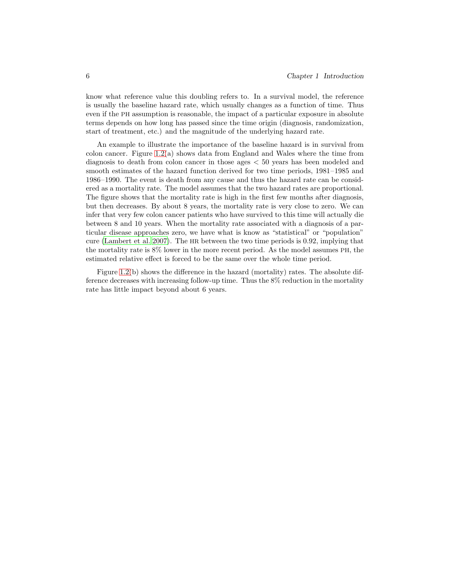know what reference value this doubling refers to. In a survival model, the reference is usually the baseline hazard rate, which usually changes as a function of time. Thus even if the PH assumption is reasonable, the impact of a particular exposure in absolute terms depends on how long has passed since the time origin (diagnosis, randomization, start of treatment, etc.) and the magnitude of the underlying hazard rate.

An example to illustrate the importance of the baseline hazard is in survival from colon cancer. Figure 1.2(a) shows data from England and Wales where the time from diagnosis to death from colon cancer in those ages < 50 years has been modeled and smooth estimates of the hazard function derived for two time periods, 1981–1985 and 1986–1990. The event is death from any cause and thus the hazard rate can be considered as a mortality rate. The model assumes that the two hazard rates are proportional. The figure shows that the mortality rate is high in the first few months after diagnosis, but then decreases. By about 8 years, the mortality rate is very close to zero. We can infer that very few colon cancer patients who have survived to this time will actually die between 8 and 10 years. When the mortality rate associated with a diagnosis of a particular disease approaches zero, we have what is know as "statistical" or "population" cure (Lambert et al. 2007). The HR between the two time periods is 0.92, implying that the mortality rate is 8% lower in the more recent period. As the model assumes PH, the estimated relative effect is forced to be the same over the whole time period.

Figure 1.2(b) shows the difference in the hazard (mortality) rates. The absolute difference decreases with increasing follow-up time. Thus the 8% reduction in the mortality rate has little impact beyond about 6 years.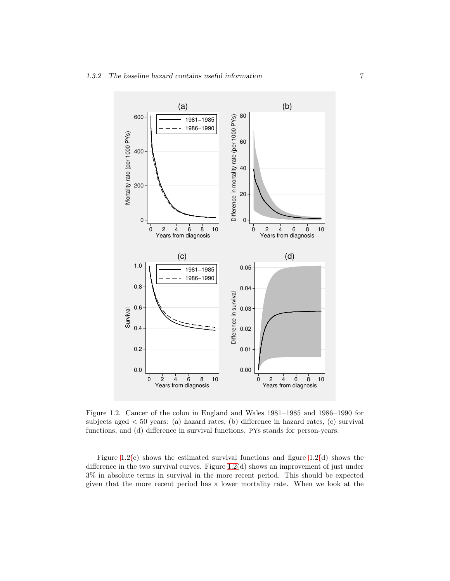

Figure 1.2. Cancer of the colon in England and Wales 1981–1985 and 1986–1990 for subjects aged  $< 50$  years: (a) hazard rates, (b) difference in hazard rates, (c) survival functions, and (d) difference in survival functions. PYs stands for person-years.

Figure 1.2(c) shows the estimated survival functions and figure 1.2(d) shows the difference in the two survival curves. Figure 1.2(d) shows an improvement of just under 3% in absolute terms in survival in the more recent period. This should be expected given that the more recent period has a lower mortality rate. When we look at the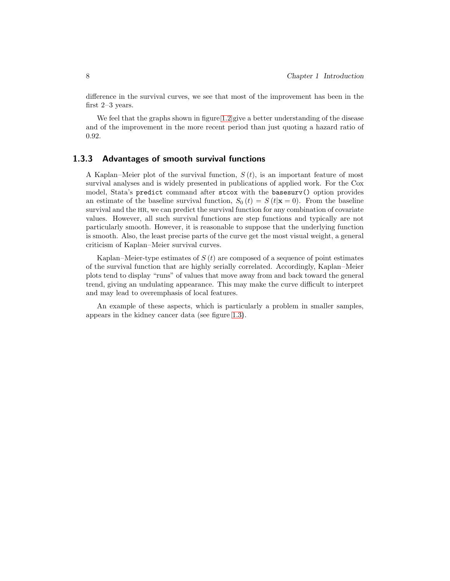difference in the survival curves, we see that most of the improvement has been in the first 2–3 years.

We feel that the graphs shown in figure 1.2 give a better understanding of the disease and of the improvement in the more recent period than just quoting a hazard ratio of 0.92.

#### 1.3.3 Advantages of smooth survival functions

A Kaplan–Meier plot of the survival function,  $S(t)$ , is an important feature of most survival analyses and is widely presented in publications of applied work. For the Cox model, Stata's predict command after stcox with the basesurv() option provides an estimate of the baseline survival function,  $S_0(t) = S(t|\mathbf{x} = 0)$ . From the baseline survival and the HR, we can predict the survival function for any combination of covariate values. However, all such survival functions are step functions and typically are not particularly smooth. However, it is reasonable to suppose that the underlying function is smooth. Also, the least precise parts of the curve get the most visual weight, a general criticism of Kaplan–Meier survival curves.

Kaplan–Meier-type estimates of  $S(t)$  are composed of a sequence of point estimates of the survival function that are highly serially correlated. Accordingly, Kaplan–Meier plots tend to display "runs" of values that move away from and back toward the general trend, giving an undulating appearance. This may make the curve difficult to interpret and may lead to overemphasis of local features.

An example of these aspects, which is particularly a problem in smaller samples, appears in the kidney cancer data (see figure 1.3).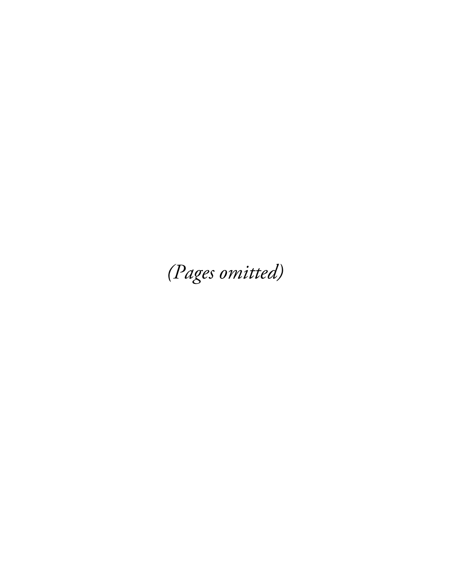(Pages omitted)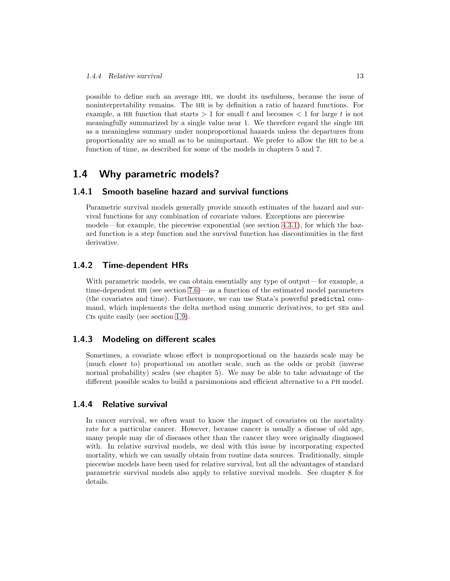possible to define such an average HR, we doubt its usefulness, because the issue of noninterpretability remains. The HR is by definition a ratio of hazard functions. For example, a HR function that starts  $> 1$  for small t and becomes  $< 1$  for large t is not meaningfully summarized by a single value near 1. We therefore regard the single HR as a meaningless summary under nonproportional hazards unless the departures from proportionality are so small as to be unimportant. We prefer to allow the HR to be a function of time, as described for some of the models in chapters 5 and 7.

#### 1.4 Why parametric models?

#### 1.4.1 Smooth baseline hazard and survival functions

Parametric survival models generally provide smooth estimates of the hazard and survival functions for any combination of covariate values. Exceptions are piecewise models—for example, the piecewise exponential (see section 4.3.1), for which the hazard function is a step function and the survival function has discontinuities in the first derivative.

#### 1.4.2 Time-dependent HRs

With parametric models, we can obtain essentially any type of output—for example, a time-dependent HR (see section 7.6)—as a function of the estimated model parameters (the covariates and time). Furthermore, we can use Stata's powerful predictnl command, which implements the delta method using numeric derivatives, to get SEs and CIs quite easily (see section 1.9).

#### 1.4.3 Modeling on different scales

Sometimes, a covariate whose effect is nonproportional on the hazards scale may be (much closer to) proportional on another scale, such as the odds or probit (inverse normal probability) scales (see chapter 5). We may be able to take advantage of the different possible scales to build a parsimonious and efficient alternative to a PH model.

#### 1.4.4 Relative survival

In cancer survival, we often want to know the impact of covariates on the mortality rate for a particular cancer. However, because cancer is usually a disease of old age, many people may die of diseases other than the cancer they were originally diagnosed with. In relative survival models, we deal with this issue by incorporating expected mortality, which we can usually obtain from routine data sources. Traditionally, simple piecewise models have been used for relative survival, but all the advantages of standard parametric survival models also apply to relative survival models. See chapter 8 for details.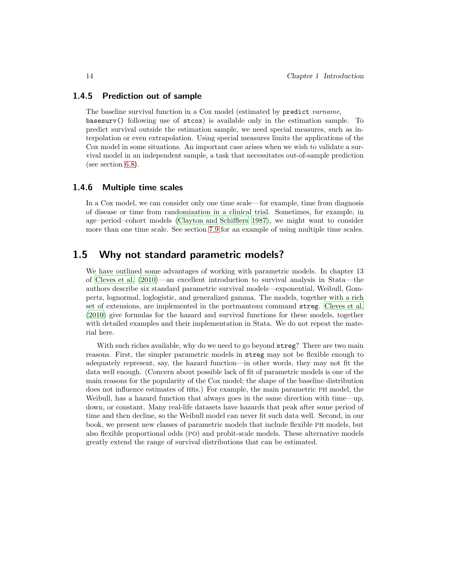#### 1.4.5 Prediction out of sample

The baseline survival function in a Cox model (estimated by predict varname, basesurv() following use of stcox) is available only in the estimation sample. To predict survival outside the estimation sample, we need special measures, such as interpolation or even extrapolation. Using special measures limits the applications of the Cox model in some situations. An important case arises when we wish to validate a survival model in an independent sample, a task that necessitates out-of-sample prediction (see section 6.8).

#### 1.4.6 Multiple time scales

In a Cox model, we can consider only one time scale—for example, time from diagnosis of disease or time from randomization in a clinical trial. Sometimes, for example, in age–period–cohort models (Clayton and Schifflers 1987), we might want to consider more than one time scale. See section 7.9 for an example of using multiple time scales.

#### 1.5 Why not standard parametric models?

We have outlined some advantages of working with parametric models. In chapter 13 of Cleves et al. (2010)—an excellent introduction to survival analysis in Stata—the authors describe six standard parametric survival models—exponential, Weibull, Gompertz, lognormal, loglogistic, and generalized gamma. The models, together with a rich set of extensions, are implemented in the portmanteau command streg. Cleves et al. (2010) give formulas for the hazard and survival functions for these models, together with detailed examples and their implementation in Stata. We do not repeat the material here.

With such riches available, why do we need to go beyond streg? There are two main reasons. First, the simpler parametric models in streg may not be flexible enough to adequately represent, say, the hazard function—in other words, they may not fit the data well enough. (Concern about possible lack of fit of parametric models is one of the main reasons for the popularity of the Cox model; the shape of the baseline distribution does not influence estimates of HRs.) For example, the main parametric PH model, the Weibull, has a hazard function that always goes in the same direction with time—up, down, or constant. Many real-life datasets have hazards that peak after some period of time and then decline, so the Weibull model can never fit such data well. Second, in our book, we present new classes of parametric models that include flexible PH models, but also flexible proportional odds (PO) and probit-scale models. These alternative models greatly extend the range of survival distributions that can be estimated.